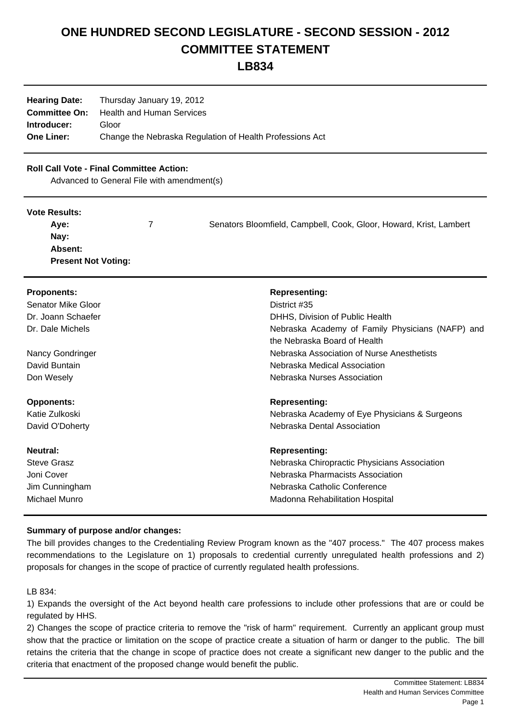# **ONE HUNDRED SECOND LEGISLATURE - SECOND SESSION - 2012 COMMITTEE STATEMENT**

**LB834**

| <b>Hearing Date:</b> | Thursday January 19, 2012                                |  |  |
|----------------------|----------------------------------------------------------|--|--|
| <b>Committee On:</b> | Health and Human Services                                |  |  |
| Introducer:          | Gloor                                                    |  |  |
| <b>One Liner:</b>    | Change the Nebraska Regulation of Health Professions Act |  |  |

## **Roll Call Vote - Final Committee Action:**

Advanced to General File with amendment(s)

#### **Vote Results:**

| Aye:                       | Senators Bloomfield, Campbell, Cook, Gloor, Howard, Krist, Lambert |
|----------------------------|--------------------------------------------------------------------|
| Nay:                       |                                                                    |
| Absent:                    |                                                                    |
| <b>Present Not Voting:</b> |                                                                    |

| <b>Proponents:</b> | <b>Representing:</b>                                                       |
|--------------------|----------------------------------------------------------------------------|
| Senator Mike Gloor | District #35                                                               |
| Dr. Joann Schaefer | DHHS, Division of Public Health                                            |
| Dr. Dale Michels   | Nebraska Academy of Family Physicians (NAFP) and                           |
| Nancy Gondringer   | the Nebraska Board of Health<br>Nebraska Association of Nurse Anesthetists |
| David Buntain      | Nebraska Medical Association                                               |
| Don Wesely         | Nebraska Nurses Association                                                |
| <b>Opponents:</b>  | <b>Representing:</b>                                                       |
| Katie Zulkoski     | Nebraska Academy of Eye Physicians & Surgeons                              |
| David O'Doherty    | Nebraska Dental Association                                                |
| Neutral:           | <b>Representing:</b>                                                       |
| <b>Steve Grasz</b> | Nebraska Chiropractic Physicians Association                               |
| Joni Cover         | Nebraska Pharmacists Association                                           |
| Jim Cunningham     | Nebraska Catholic Conference                                               |
| Michael Munro      | Madonna Rehabilitation Hospital                                            |

#### **Summary of purpose and/or changes:**

The bill provides changes to the Credentialing Review Program known as the "407 process." The 407 process makes recommendations to the Legislature on 1) proposals to credential currently unregulated health professions and 2) proposals for changes in the scope of practice of currently regulated health professions.

LB 834:

1) Expands the oversight of the Act beyond health care professions to include other professions that are or could be regulated by HHS.

2) Changes the scope of practice criteria to remove the "risk of harm" requirement. Currently an applicant group must show that the practice or limitation on the scope of practice create a situation of harm or danger to the public. The bill retains the criteria that the change in scope of practice does not create a significant new danger to the public and the criteria that enactment of the proposed change would benefit the public.